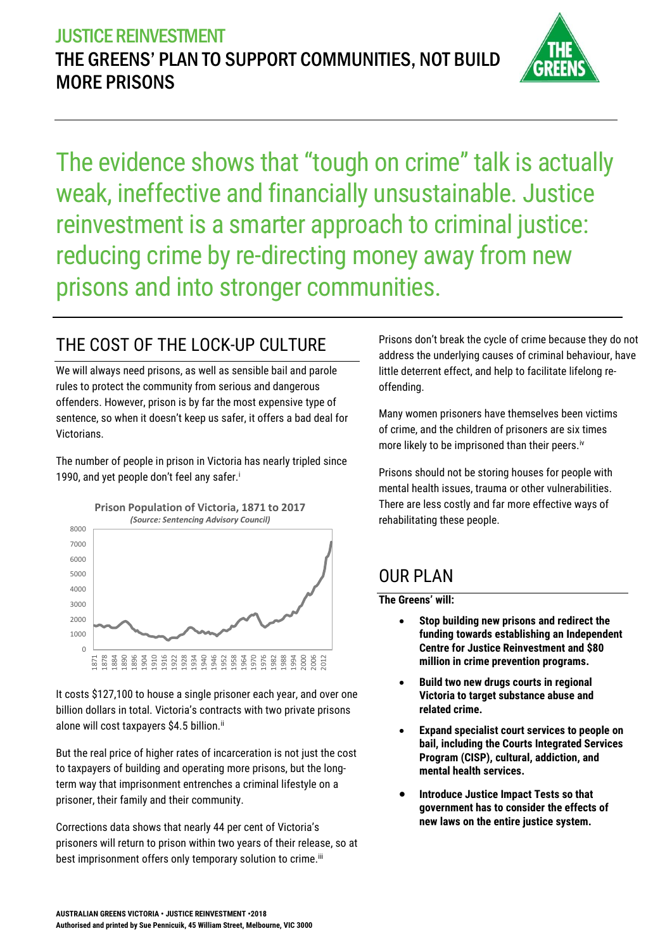

The evidence shows that "tough on crime" talk is actually weak, ineffective and financially unsustainable. Justice reinvestment is a smarter approach to criminal justice: reducing crime by re-directing money away from new prisons and into stronger communities.

# THE COST OF THE LOCK-UP CULTURE

We will always need prisons, as well as sensible bail and parole rules to protect the community from serious and dangerous offenders. However, prison is by far the most expensive type of sentence, so when it doesn't keep us safer, it offers a bad deal for Victorians.

The number of people in prison in Victoria has nearly tripled since 1990, and yet people don't feel any safer.<sup>i</sup>



It costs \$127,100 to house a single prisoner each year, and over one billion dollars in total. Victoria's contracts with two private prisons alone will cost taxpayers \$4.5 billion.<sup>ii</sup>

But the real price of higher rates of incarceration is not just the cost to taxpayers of building and operating more prisons, but the longterm way that imprisonment entrenches a criminal lifestyle on a prisoner, their family and their community.

Corrections data shows that nearly 44 per cent of Victoria's prisoners will return to prison within two years of their release, so at best imprisonment offers only temporary solution to crime.<sup>iii</sup>

Prisons don't break the cycle of crime because they do not address the underlying causes of criminal behaviour, have little deterrent effect, and help to facilitate lifelong reoffending.

Many women prisoners have themselves been victims of crime, and the children of prisoners are six times more likely to be imprisoned than their peers.<sup>iv</sup>

Prisons should not be storing houses for people with mental health issues, trauma or other vulnerabilities. There are less costly and far more effective ways of rehabilitating these people.

#### OUR PLAN

**The Greens' will:**

- **Stop building new prisons and redirect the funding towards establishing an Independent Centre for Justice Reinvestment and \$80 million in crime prevention programs.**
- **Build two new drugs courts in regional Victoria to target substance abuse and related crime.**
- **Expand specialist court services to people on bail, including the Courts Integrated Services Program (CISP), cultural, addiction, and mental health services.**
- **Introduce Justice Impact Tests so that government has to consider the effects of new laws on the entire justice system.**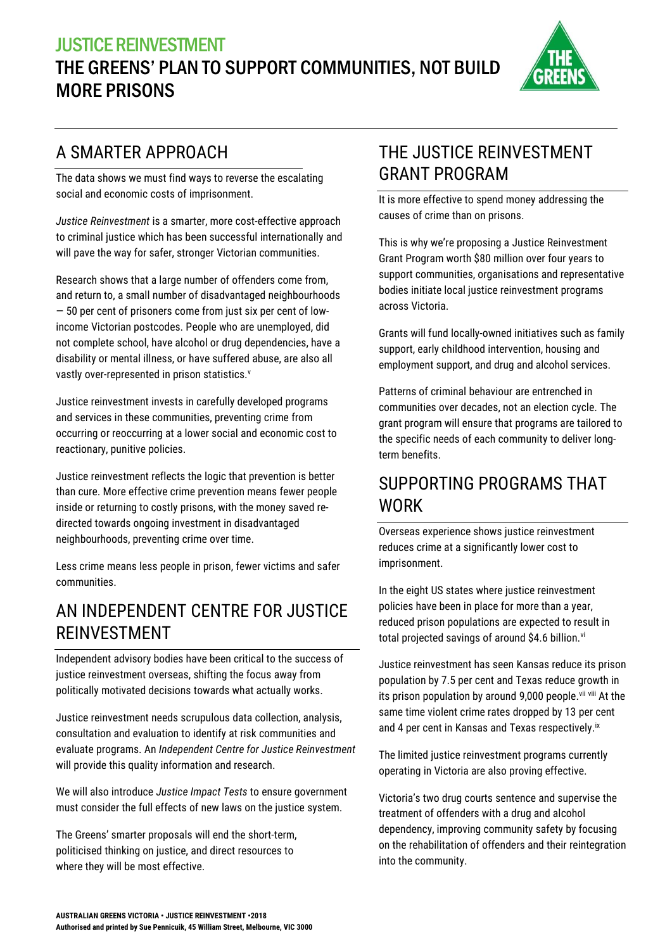### JUSTICE REINVESTMENT THE GREENS' PLAN TO SUPPORT COMMUNITIES, NOT BUILD MORE PRISONS



# A SMARTER APPROACH

The data shows we must find ways to reverse the escalating social and economic costs of imprisonment.

*Justice Reinvestment* is a smarter, more cost-effective approach to criminal justice which has been successful internationally and will pave the way for safer, stronger Victorian communities.

Research shows that a large number of offenders come from, and return to, a small number of disadvantaged neighbourhoods — 50 per cent of prisoners come from just six per cent of lowincome Victorian postcodes. People who are unemployed, did not complete school, have alcohol or drug dependencies, have a disability or mental illness, or have suffered abuse, are also all vastly over-represented in prison statistics.<sup>v</sup>

Justice reinvestment invests in carefully developed programs and services in these communities, preventing crime from occurring or reoccurring at a lower social and economic cost to reactionary, punitive policies.

Justice reinvestment reflects the logic that prevention is better than cure. More effective crime prevention means fewer people inside or returning to costly prisons, with the money saved redirected towards ongoing investment in disadvantaged neighbourhoods, preventing crime over time.

Less crime means less people in prison, fewer victims and safer communities.

#### AN INDEPENDENT CENTRE FOR JUSTICE REINVESTMENT

Independent advisory bodies have been critical to the success of justice reinvestment overseas, shifting the focus away from politically motivated decisions towards what actually works.

Justice reinvestment needs scrupulous data collection, analysis, consultation and evaluation to identify at risk communities and evaluate programs. An *Independent Centre for Justice Reinvestment* will provide this quality information and research.

We will also introduce *Justice Impact Tests* to ensure government must consider the full effects of new laws on the justice system.

The Greens' smarter proposals will end the short-term, politicised thinking on justice, and direct resources to where they will be most effective.

# THE JUSTICE REINVESTMENT GRANT PROGRAM

It is more effective to spend money addressing the causes of crime than on prisons.

This is why we're proposing a Justice Reinvestment Grant Program worth \$80 million over four years to support communities, organisations and representative bodies initiate local justice reinvestment programs across Victoria.

Grants will fund locally-owned initiatives such as family support, early childhood intervention, housing and employment support, and drug and alcohol services.

Patterns of criminal behaviour are entrenched in communities over decades, not an election cycle. The grant program will ensure that programs are tailored to the specific needs of each community to deliver longterm benefits.

#### SUPPORTING PROGRAMS THAT WORK

Overseas experience shows justice reinvestment reduces crime at a significantly lower cost to imprisonment.

In the eight US states where justice reinvestment policies have been in place for more than a year, reduced prison populations are expected to result in total projected savings of around \$4.6 billion. $vi$ 

Justice reinvestment has seen Kansas reduce its prison population by 7.5 per cent and Texas reduce growth in its prison population by around 9,000 people.<sup>vii viii</sup> At the same time violent crime rates dropped by 13 per cent and 4 per cent in Kansas and Texas respectively.<sup>ix</sup>

The limited justice reinvestment programs currently operating in Victoria are also proving effective.

Victoria's two drug courts sentence and supervise the treatment of offenders with a drug and alcohol dependency, improving community safety by focusing on the rehabilitation of offenders and their reintegration into the community.